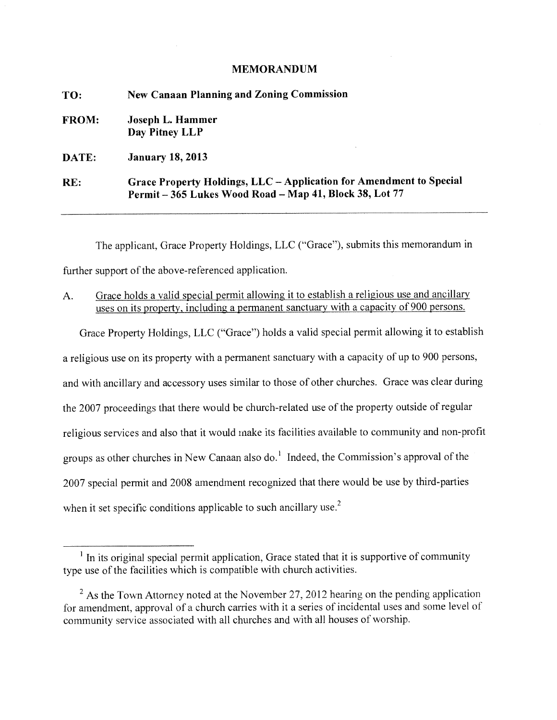# **MEMORANDUM**

| TO:          | <b>New Canaan Planning and Zoning Commission</b>                                                                               |  |
|--------------|--------------------------------------------------------------------------------------------------------------------------------|--|
| <b>FROM:</b> | Joseph L. Hammer<br>Day Pitney LLP                                                                                             |  |
| DATE:        | <b>January 18, 2013</b>                                                                                                        |  |
| RE:          | Grace Property Holdings, LLC – Application for Amendment to Special<br>Permit - 365 Lukes Wood Road - Map 41, Block 38, Lot 77 |  |

The applicant, Grace Property Holdings, LLC ("Grace"), submits this memorandum in further support of the above-referenced application.

A. Grace holds a valid special permit allowing it to establish a religious use and ancillary uses on its property, including a permanent sanctuary with a capacity of 900 persons.

Grace Property Holdings, LLC ("Grace") holds a valid special permit allowing it to establish a religious use on its property with a permanent sanctuary with a capacity of up to 900 persons, and with ancillary and accessory uses similar to those of other churches. Grace was clear during the 2007 proceedings that there would be church-related use of the property outside of regular religious services and also that it would make its facilities available to community and non-profit groups as other churches in New Canaan also do.<sup>1</sup> Indeed, the Commission's approval of the 2007 special permit and 2008 amendment recognized that there would be use by third-parties when it set specific conditions applicable to such ancillary use.<sup>2</sup>

 $<sup>1</sup>$  In its original special permit application, Grace stated that it is supportive of community</sup> type use of the facilities which is compatible with church activities.

 $2<sup>2</sup>$  As the Town Attorney noted at the November 27, 2012 hearing on the pending application for amendment, approval of a church carries with it a series of incidental uses and some level of community service associated with all churches and with all houses of worship.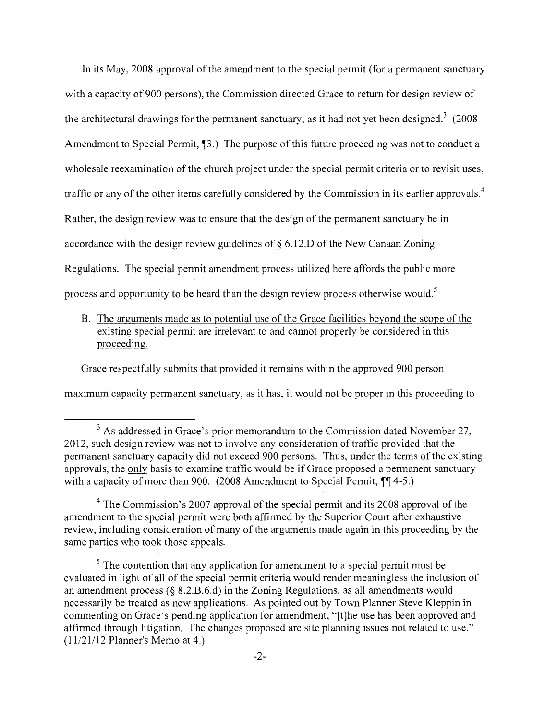In its May, 2008 approval of the amendment to the special permit (for a permanent sanctuary with a capacity of 900 persons), the Commission directed Grace to return for design review of the architectural drawings for the permanent sanctuary, as it had not yet been designed.<sup>3</sup> (2008) Amendment to Special Permit,  $\P$ 3.) The purpose of this future proceeding was not to conduct a wholesale reexamination of the church project under the special permit criteria or to revisit uses, traffic or any of the other items carefully considered by the Commission in its earlier approvals. <sup>4</sup> Rather, the design review was to ensure that the design of the permanent sanctuary be in accordance with the design review guidelines of § 6.12.D of the New Canaan Zoning Regulations. The special permit amendment process utilized here affords the public more process and opportunity to be heard than the design review process otherwise would.<sup>5</sup>

B. The arguments made as to potential use of the Grace facilities beyond the scope of the existing special permit are irrelevant to and cannot properly be considered in this proceeding.

Grace respectfully submits that provided it remains within the approved 900 person maximum capacity permanent sanctuary, as it has, it would not be proper in this proceeding to

 $3$  As addressed in Grace's prior memorandum to the Commission dated November 27, 2012, such design review was not to involve any consideration of traffic provided that the permanent sanctuary capacity did not exceed 900 persons. Thus, under the terms of the existing approvals, the only basis to examine traffic would be if Grace proposed a permanent sanctuary with a capacity of more than 900. (2008 Amendment to Special Permit,  $\P\P$  4-5.)

 $4$  The Commission's 2007 approval of the special permit and its 2008 approval of the amendment to the special permit were both affirmed by the Superior Court after exhaustive review, including consideration of many of the arguments made again in this proceeding by the same parties who took those appeals.

 $<sup>5</sup>$  The contention that any application for amendment to a special permit must be</sup> evaluated in light of all of the special permit criteria would render meaningless the inclusion of an amendment process (§ 8.2.B.6.d) in the Zoning Regulations, as all amendments would necessarily be treated as new applications. As pointed out by Town Planner Steve Kleppin in commenting on Grace's pending application for amendment, "[t]he use has been approved and affirmed through litigation. The changes proposed are site planning issues not related to use." (11/21/12 Planner's Memo at 4.)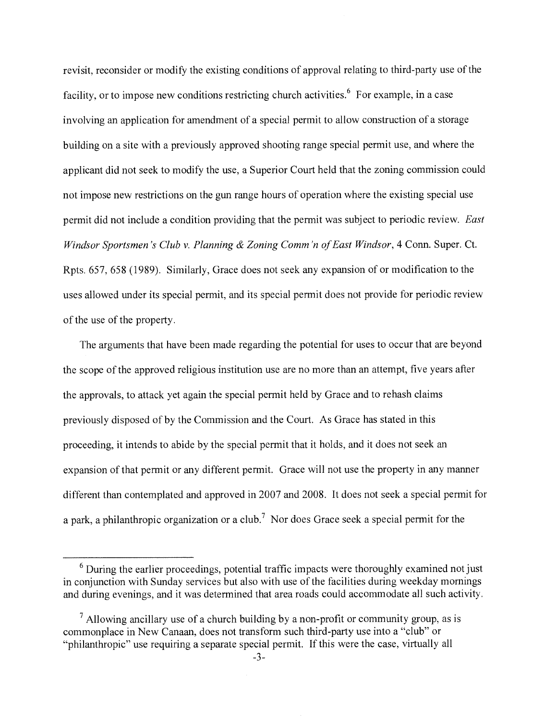revisit, reconsider or modify the existing conditions of approval relating to third-party use of the facility, or to impose new conditions restricting church activities.<sup>6</sup> For example, in a case involving an application for amendment of a special permit to allow construction of a storage building on a site with a previously approved shooting range special permit use, and where the applicant did not seek to modify the use, a Superior Court held that the zoning commission could not impose new restrictions on the gun range hours of operation where the existing special use permit did not include a condition providing that the permit was subject to periodic review. *East Windsor Sportsmen's Club v. Planning & Zoning Comm'n of East Windsor*, 4 Conn. Super. Ct. Rpts. 657, 658 (1989). Similarly, Grace does not seek any expansion of or modification to the uses allowed under its special permit, and its special permit does not provide for periodic review of the use of the property.

The arguments that have been made regarding the potential for uses to occur that are beyond the scope of the approved religious institution use are no more than an attempt, five years after the approvals, to attack yet again the special permit held by Grace and to rehash claims previously disposed of by the Commission and the Court, As Grace has stated in this proceeding, it intends to abide by the special permit that it holds, and it does not seek an expansion of that permit or any different permit. Grace will not use the property in any manner different than contemplated and approved in 2007 and 2008. It does not seek a special permit for a park, a philanthropic organization or a club.<sup>7</sup> Nor does Grace seek a special permit for the

 $6$  During the earlier proceedings, potential traffic impacts were thoroughly examined not just in conjunction with Sunday services but also with use of the facilities during weekday mornings and during evenings, and it was determined that area roads could accommodate all such activity.

 $<sup>7</sup>$  Allowing ancillary use of a church building by a non-profit or community group, as is</sup> commonplace in New Canaan, does not transform such third-party use into a "club" or "philanthropic" use requiring a separate special permit. If this were the case, virtually all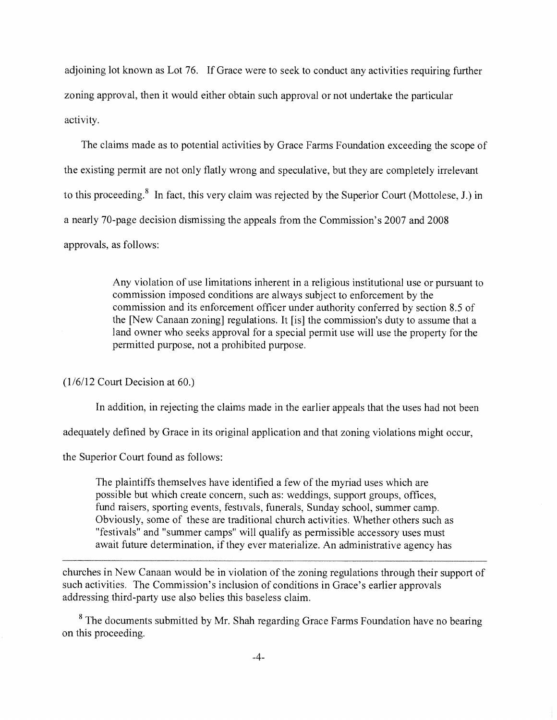adjoining lot known as Lot 76. If Grace were to seek to conduct any activities requiring further zoning approval, then it would either obtain such approval or not undertake the particular activity.

The claims made as to potential activities by Grace Farms Foundation exceeding the scope of the existing permit are not only flatly wrong and speculative, but they are completely irrelevant to this proceeding.<sup>8</sup> In fact, this very claim was rejected by the Superior Court (Mottolese, J.) in a nearly 70-page decision dismissing the appeals from the Commission's 2007 and 2008 approvals, as follows:

> Any violation of use limitations inherent in a religious institutional use or pursuant to commission imposed conditions are always subject to enforcement by the commission and its enforcement officer under authority conferred by section 8.5 of the [New Canaan zoning] regulations. It [is] the commission's duty to assume that a land owner who seeks approval for a special permit use will use the property for the permitted purpose, not a prohibited purpose.

(1/6/12 Court Decision at 60.)

In addition, in rejecting the claims made in the earlier appeals that the uses had not been

adequately defined by Grace in its original application and that zoning violations might occur,

the Superior Court found as follows:

The plaintiffs themselves have identified a few of the myriad uses which are possible but which create concern, such as: weddings, support groups, offices, fund raisers, sporting events, festivals, funerals, Sunday school, summer camp. Obviously, some of these are traditional church activities. Whether others such as "festivals" and "summer camps" will qualify as permissible accessory uses must await future determination, if they ever materialize. An administrative agency has

churches in New Canaan would be in violation of the zoning regulations through their support of such activities. The Commission's inclusion of conditions in Grace's earlier approvals addressing third-party use also belies this baseless claim.

<sup>8</sup> The documents submitted by Mr. Shah regarding Grace Farms Foundation have no bearing on this proceeding.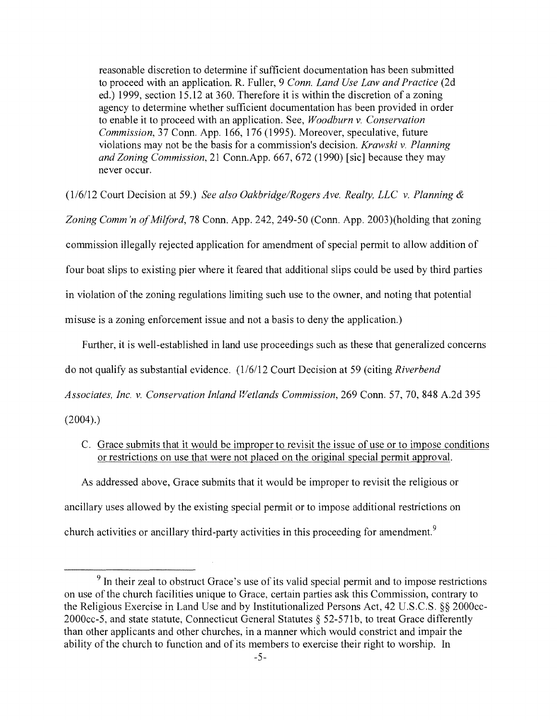reasonable discretion to determine if sufficient documentation has been submitted to proceed with an application. R. Fuller, 9 *Conn. Land Use Law and Practice* (2d ed.) 1999, section 15.12 at 360. Therefore it is within the discretion of a zoning agency to determine whether sufficient documentation has been provided in order to enable it to proceed with an application. See, *Woodburn v. Conservation Commission,* 37 Conn. App. 166, 176 (1995). Moreover, speculative, future violations may not be the basis for a commission's decision. *Krawski v. Planning and Zoning Commission,* 21 Conn.App. 667, 672 (1990) [sic] because they may never occur.

(1/6/12 Court Decision at 59.) *See also OakbridgelRogers Ave. Realty, LLC v. Planning &* 

*Zoning Comm 'n of Milford,* 78 Conn. App. 242, 249-50 (Conn. App. 2003)(holding that zoning commission illegally rejected application for amendment of special permit to allow addition of four boat slips to existing pier where it feared that additional slips could be used by third parties in violation of the zoning regulations limiting such use to the owner, and noting that potential misuse is a zoning enforcement issue and not a basis to deny the application.)

Further, it is well-established in land use proceedings such as these that generalized concerns do not qualify as substantial evidence. (1/6/12 Court Decision at 59 (citing *Riverbend Associates, Inc. v. Conservation Inland Wetlands Commission,* 269 Conn. 57, 70, 848 A.2d 395

 $(2004)$ .

C. Grace submits that it would be improper to revisit the issue of use or to impose conditions or restrictions on use that were not placed on the original special permit approval.

As addressed above, Grace submits that it would be improper to revisit the religious or ancillary uses allowed by the existing special permit or to impose additional restrictions on church activities or ancillary third-party activities in this proceeding for amendment.<sup>9</sup>

 $9<sup>9</sup>$  In their zeal to obstruct Grace's use of its valid special permit and to impose restrictions on use of the church facilities unique to Grace, certain parties ask this Commission, contrary to the Religious Exercise in Land Use and by Institutionalized Persons Act, 42 U.S.C.S. §§ 2000cc-2000cc-5, and state statute, Connecticut General Statutes § 52-571b, to treat Grace differently than other applicants and other churches, in a manner which would constrict and impair the ability of the church to function and of its members to exercise their right to worship. In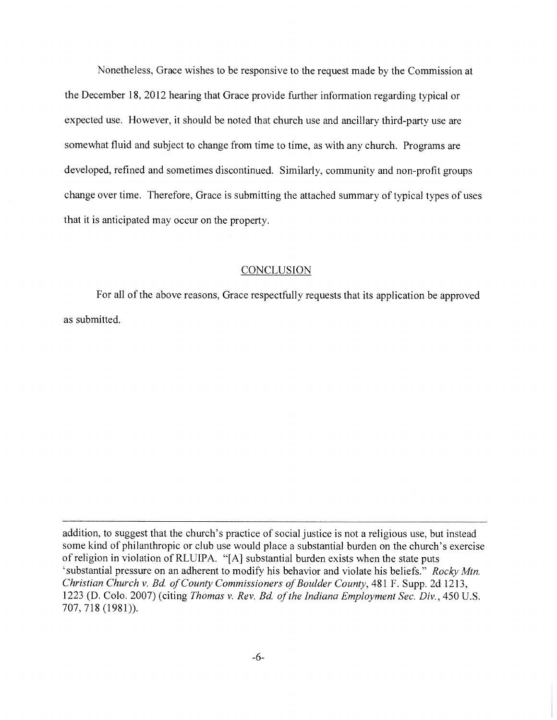Nonetheless, Grace wishes to be responsive to the request made by the Commission at the December 18, 2012 hearing that Grace provide further information regarding typical or expected use. However, it should be noted that church use and ancillary third-party use are somewhat fluid and subject to change from time to time, as with any church. Programs are developed, refined and sometimes discontinued. Similarly, community and non-profit groups change over time. Therefore, Grace is submitting the attached summary of typical types of uses that it is anticipated may occur on the property.

# **CONCLUSION**

For all of the above reasons, Grace respectfully requests that its application be approved as submitted.

addition, to suggest that the church's practice of social justice is not a religious use, but instead some kind of philanthropic or club use would place a substantial burden on the church's exercise of religion in violation of RLUIPA. "[A] substantial burden exists when the state puts 'substantial pressure on an adherent to modify his behavior and violate his beliefs." *Rocky Mtn. Christian Church v. Bd. of County Commissioners of Boulder County,* 481 F. Supp. 2d 1213, 1223 (D. Colo. 2007) (citing *Thomas v. Rev. Bd of the Indiana Employment Sec. Div.,* 450 U.S. 707, 718 (1981)).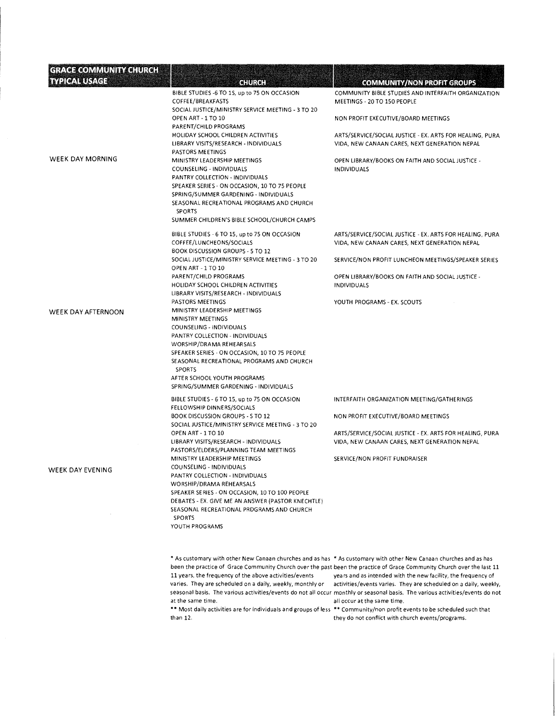| <b>GRACE COMMUNITY CHURCH</b> |                                                                                                                                                                                                                                                                                                                                                                                                  |                                                                                                                   |
|-------------------------------|--------------------------------------------------------------------------------------------------------------------------------------------------------------------------------------------------------------------------------------------------------------------------------------------------------------------------------------------------------------------------------------------------|-------------------------------------------------------------------------------------------------------------------|
| <b>TYPICAL USAGE</b>          | GHURGH                                                                                                                                                                                                                                                                                                                                                                                           | <b>COMMUNITY/NON PROFIT GROUPS</b>                                                                                |
|                               | BIBLE STUDIES -6 TO 1S, up to 75 ON OCCASION<br>COFFEE/BREAKFASTS<br>SOCIAL JUSTICE/MINISTRY SERVICE MEETING - 3 TO 20                                                                                                                                                                                                                                                                           | COMMUNITY BIBLE STUDIES AND INTERFAITH ORGANIZATION<br>MEETINGS - 20 TO 150 PEOPLE                                |
|                               | OPEN ART - 1 TO 10<br>PARENT/CHILD PROGRAMS                                                                                                                                                                                                                                                                                                                                                      | NON PROFIT EXECUTIVE/BOARD MEETINGS                                                                               |
|                               | HOLIDAY SCHOOL CHILDREN ACTIVITIES<br>LIBRARY VISITS/RESEARCH - INDIVIDUALS<br>PASTORS MEETINGS                                                                                                                                                                                                                                                                                                  | ARTS/SERVICE/SOCIAL JUSTICE - EX. ARTS FOR HEALING, PURA<br>VIDA, NEW CANAAN CARES, NEXT GENERATION NEPAL         |
| <b>WEEK DAY MORNING</b>       | MINISTRY LEADERSHIP MEETINGS<br>COUNSELING - INDIVIDUALS<br>PANTRY COLLECTION - INDIVIDUALS<br>SPEAKER SERIES - ON OCCASION, 10 TO 75 PEOPLE<br>SPRING/SUMMER GARDENING - INDIVIDUALS<br>SEASONAL RECREATIONAL PROGRAMS AND CHURCH<br><b>SPORTS</b>                                                                                                                                              | OPEN LIBRARY/BOOKS ON FAITH AND SOCIAL JUSTICE -<br><b>INDIVIDUALS</b>                                            |
|                               | SUMMER CHILDREN'S BIBLE SCHOOL/CHURCH CAMPS                                                                                                                                                                                                                                                                                                                                                      |                                                                                                                   |
|                               | BIBLE STUDIES - 6 TO 15, up to 75 ON OCCASION<br>COFFEE/LUNCHEONS/SOCIALS<br><b>BOOK DISCUSSION GROUPS - 5 TO 12</b>                                                                                                                                                                                                                                                                             | ARTS/SERVICE/SOCIAL JUSTICE - EX. ARTS FOR HEALING, PURA<br>VIDA, NEW CANAAN CARES, NEXT GENERATION NEPAL         |
|                               | SOCIAL JUSTICE/MINISTRY SERVICE MEETING - 3 TO 20<br>OPEN ART - 1 TO 10                                                                                                                                                                                                                                                                                                                          | SERVICE/NON PROFIT LUNCHEON MEETINGS/SPEAKER SERIES                                                               |
|                               | PARENT/CHILD PROGRAMS<br>HOLIDAY SCHOOL CHILDREN ACTIVITIES                                                                                                                                                                                                                                                                                                                                      | OPEN LIBRARY/BOOKS ON FAITH AND SOCIAL JUSTICE -<br><b>INDIVIDUALS</b>                                            |
| <b>WEEK DAY AFTERNOON</b>     | LIBRARY VISITS/RESEARCH - INDIVIDUALS<br>PASTORS MEETINGS<br>MINISTRY LEADERSHIP MEETINGS<br>MINISTRY MEETINGS<br>COUNSELING - INDIVIDUALS<br>PANTRY COLLECTION - INDIVIDUALS<br>WORSHIP/DRAMA REHEARSALS<br>SPEAKER SERIES - ON OCCASION, 10 TO 75 PEOPLE<br>SEASONAL RECREATIONAL PROGRAMS AND CHURCH<br><b>SPORTS</b><br>AFTER SCHOOL YOUTH PROGRAMS<br>SPRING/SUMMER GARDENING - INDIVIDUALS | YOUTH PROGRAMS - EX. SCOUTS                                                                                       |
|                               | BIBLE STUDIES - 6 TO 15, up to 75 ON OCCASION<br>FELLOWSHIP DINNERS/SOCIALS                                                                                                                                                                                                                                                                                                                      | INTERFAITH ORGANIZATION MEETING/GATHERINGS                                                                        |
|                               | <b>BOOK DISCUSSION GROUPS - S TO 12</b><br>SOCIAL JUSTICE/MINISTRY SERVICE MEETING - 3 TO 20                                                                                                                                                                                                                                                                                                     | NON PROFIT EXECUTIVE/BOARD MEETINGS                                                                               |
|                               | OPEN ART - 1 TO 10<br>LIBRARY VISITS/RESEARCH - INDIVIDUALS<br>PASTORS/ELDERS/PLANNING TEAM MEETINGS                                                                                                                                                                                                                                                                                             | ARTS/SERVICE/SOCIAL JUSTICE - EX. ARTS FOR HEALING, PURA<br>VIDA, NEW CANAAN CARES, NEXT GENERATION NEPAL         |
| WEEK DAY EVENING              | MINISTRY LEADERSHIP MEETINGS<br>COUNSELING - INDIVIDUALS<br>PANTRY COLLECTION - INDIVIDUALS<br>WORSHIP/DRAMA REHEARSALS<br>SPEAKER SERIES - ON OCCASION, 10 TO 100 PEOPLE<br>DEBATES - EX. GIVE ME AN ANSWER (PASTOR KNECHTLE)<br>SEASONAL RECREATIONAL PRDGRAMS AND CHURCH<br><b>SPORTS</b><br>YOUTH PROGRAMS                                                                                   | SERVICE/NON PROFIT FUNDRAISER                                                                                     |
|                               |                                                                                                                                                                                                                                                                                                                                                                                                  | * As customary with other New Canaan churches and as has * As customary with other New Canaan churches and as has |

been the practice of Grace Community Church over the past been the practice of Grace Community Church over the last 11<br>11 years, the frequency of the above activities/events years and as intended with the new facility, the varies. They are scheduled on a daily, weekly, monthly or activities/events varies. They are scheduled on a daily, weekly, seasonal basis. The various activities/events do not all occur monthly or seasonal basis. The various activities/events do not at the same time.

\*\* Most daily activities are for individuals and groups of less \*\* Community/non profit events to be scheduled such that<br>than 12.

years and as intended with the new facility, the frequency of all occur at the same time.

they do not conflict with church events/programs.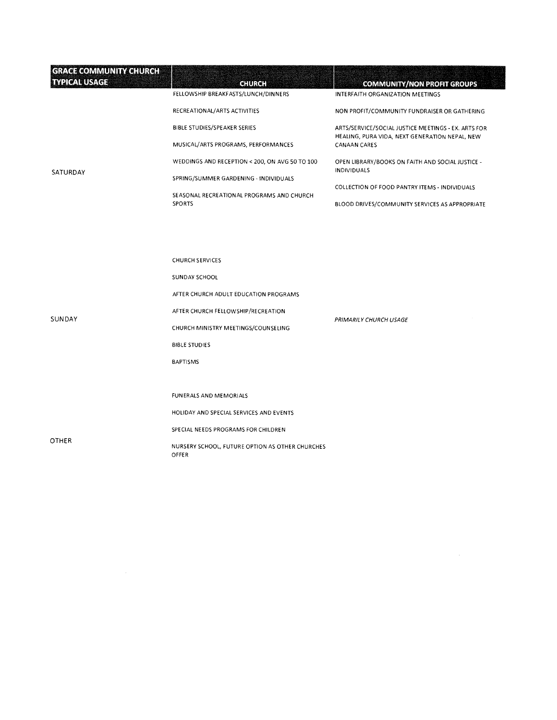| <b>GRACE COMMUNITY CHURCH</b><br><b>TYPICAL USAGE</b> | <b>CHURCH</b><br>FELLOWSHIP BREAKFASTS/LUNCH/DINNERS                                                                                                                                                     | <b>COMMUNITY/NON PROFIT GROUPS</b><br>INTERFAITH ORGANIZATION MEETINGS                          |
|-------------------------------------------------------|----------------------------------------------------------------------------------------------------------------------------------------------------------------------------------------------------------|-------------------------------------------------------------------------------------------------|
|                                                       | RECREATIONAL/ARTS ACTIVITIES                                                                                                                                                                             | NON PROFIT/COMMUNITY FUNDRAISER OR GATHERING                                                    |
|                                                       | <b>BIBLE STUDIES/SPEAKER SERIES</b>                                                                                                                                                                      | ARTS/SERVICE/SOCIAL JUSTICE MEETINGS - EX. ARTS FOR                                             |
|                                                       | MUSICAL/ARTS PROGRAMS, PERFORMANCES                                                                                                                                                                      | HEALING, PURA VIDA, NEXT GENERATION NEPAL, NEW<br>CANAAN CARES                                  |
|                                                       | WEDDINGS AND RECEPTION < 200, ON AVG 50 TO 100                                                                                                                                                           | OPEN LIBRARY/BOOKS ON FAITH AND SOCIAL JUSTICE -                                                |
| SATURDAY                                              | SPRING/SUMMER GARDENING - INDIVIDUALS                                                                                                                                                                    | <b>INDIVIDUALS</b>                                                                              |
|                                                       | SEASONAL RECREATIONAL PROGRAMS AND CHURCH<br><b>SPORTS</b>                                                                                                                                               | COLLECTION OF FOOD PANTRY ITEMS - INDIVIDUALS<br>BLOOD DRIVES/COMMUNITY SERVICES AS APPROPRIATE |
| <b>SUNDAY</b>                                         | <b>CHURCH SERVICES</b><br>SUNDAY SCHOOL<br>AFTER CHURCH ADULT EDUCATION PROGRAMS<br>AFTER CHURCH FELLOWSHIP/RECREATION<br>CHURCH MINISTRY MEETINGS/COUNSELING<br><b>BIBLE STUDIES</b><br><b>BAPTISMS</b> | PRIMARILY CHURCH USAGE                                                                          |
| OTHER                                                 | FUNERALS AND MEMORIALS<br>HOLIDAY AND SPECIAL SERVICES AND EVENTS<br>SPECIAL NEEDS PROGRAMS FOR CHILDREN<br>NURSERY SCHOOL, FUTURE OPTION AS OTHER CHURCHES<br>OFFER                                     |                                                                                                 |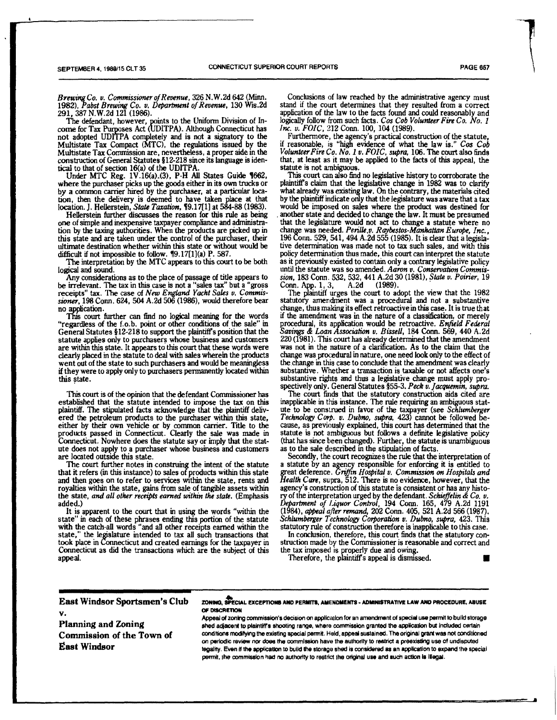*Brewing Co. v. Commissioner of Revenue,* 326 N.W.2d 642 (Minn. 1982), *Pabst Brewing Co. v. Department of Revenue,* 130 Wis.2d 291, 387 N.W.2d 121 (1986).

The defendant, however, points to the Uniform Division of Income for Tax Purposes Act (UDITPA). Although Connecticut has not adopted UDITPA completely and is not a signatory to the Multistate Tax Compact (MTC), the regulations issued by the Multistate Tax Commission are, nevertheless, a proper aide in the construction of General Statutes §12-218 since its language is iden-

tical to that of section 16(a) of the UDITPA. Under MTC Reg. 1V.16(a).(3), P-H All States Guide 1662, where the purchaser picks up the goods either in its own trucks or by a common carrier hired by the purchaser, at a particular location, then the delivery is deemed to have taken place at that location. J. Hellerstein, *State Taxation*, **19.17**[1] at 584-88 (1983).

Hellerstein further discusses the reason for this rule as being one of simple and inexpensive taxpayer compliance and administration by the taxing authorities. When the products are picked up in this state and are taken under the control of the purchaser, their ultimate destination whether within this state or without would be difficult if not impossible to follow. 19.17[1](a) P. 587.

The interpretation by the MTC appears to this court to be both logical and sound.

Any considerations as to the place of passage of title appears to be irrelevant. The tax in this case is not a "sales tax" but a "gross receipts" tax. The case of *New England Yacht Sales v. Commis-*' tax. The case of *New England Yacht Sales v. Commissioner,* 198 Conn. 624, 504 A.2d 506 (1986), would therefore bear no application.

This court further can find no logical meaning for the words "regardless of the f.o.b. point or other conditions of the sale" in General Statutes §12-218 to support the plaintiffs position that the statute applies only to purchasers whose business and customers are within this state. It appears to this court that these words were clearly placed in the statute to deal with sales wherein the products went out of the state to such purchasers and would be meaningless if they were to apply only to purchasers permanently located within this state.

This court is of the opinion that the defendant Commissioner has established that the statute intended to impose the tax on this plaintiff. The stipulated facts acknowledge that the plaintiff delivered the petroleum products to the purchaser within this state, either by their own vehicle or by common carrier. Title to the products passed in Connecticut. Clearly the sale was made in Connecticut. Nowhere does the statute say or imply that the statute does not apply to a purchaser whose business and customers are located outside this state.

The court further notes in construing the intent of the statute that it refers (in this instance) to sales of products within this state and then goes on to refer to services within the state, rents and royalties within the state, gains from sale of tangible assets within the state, *and all other receipts earned within the state.* (Emphasis added.)

It is apparent to the court that in using the words "within the state" in each of these phrases ending this portion of the statute with the catch-all words "and all other receipts earned within the state," the legislature intended to tax all such transactions that took place in Connecticut and created earnings for the taxpayer in Connecticut as did the transactions which are the subject of this appeal.

Conclusions of law reached by the administrative agency must stand if the court determines that they resulted from a correct application of the law to the facts found and could reasonably and logically follow from such facts. *Cos Cob Volunteer Fire Co. No. 2 Inc. v. FOIC,* 212 Conn. 100, 104 (1989).

Furthermore, the agency's practical construction of the statute, if reasonable, is "high evidence of what the law is." *Cos Cob Volunteer Fire Co. No. I v. FOIC, supra,* 106. The court also finds that, at least as it may be applied to the facts of this appeal, the statute is not ambiguous.

This court can also find no legislative history to corroborate the plaintiff's claim that the legislative change in 1982 was to clarify what already was existing law. On the contrary, the materials cited by the plaintiff indicate only that the legislature was aware that a tax would be imposed on sales where the product was destined for another state and decided to change the law. It must be presumed that the legislature would not act to change a statute where no change was needed. *Perilk,v. Raybestos-Manhattan Europe, Inc.,*  196 Conn. 529, 541, 494 A.2d 555 (1985). It is clear that a legislative determination was made not to tax such sales, and with this policy determination thus made, this court can interpret the statute as it previously existed to contain only a contrary legislative policy until the statute was so amended. *Aaron a. Conservation Commission,* 183 Conn. 532, 532, 441 A.2d 30 (1981), *State v. Poirier,* 19 Conn, App. 1, 3, A.2d (1989).

The plaintiff urges the court to adopt the view that the 1982 statutory amendment was a procedural and not a substantive change, thus making its effect retroactive in this case. It is true that if the amendment was in the nature of a classification, or merely procedural, its application would be retroactive. *Enfield Federal Savings & Loan Association v. Bissell,* 184 Conn. 569, 440 A.2d 220 (1981). This court has already determined that the amendment was not in the nature of a clarification. As to the claim that the change was procedural in nature, one need look only to the effect of the change in this case to conclude that the amendment was clearly substantive. Whether a transaction is taxable or not affects one's substantive rights and thus a legislative change must apply prospectively only. General Statutes §55-3. *Peck v. Jacquenitn, supra.* 

The court finds that the statutory construction aids cited are inapplicable in this instance. The rule requiring an ambiguous statute to be construed in favor of the taxpayer (see *Schlumberger Technology Corp. v. Dubno, supra,* 423) cannot be followed because, as previously explained, this court has determined that the statute is not ambiguous but follows a definite legislative policy (that has since been changed). Further, the statute is unambiguous as to the sale described in the stipulation of facts.

Secondly, the court recognizes the rule that the interpretation of a statute by an agency responsible for enforcing it is entitled to great deference. *Griffin Hospital v. Commission on Hospitals and Health* Care, supra, 512. There is no evidence, however, that the agency's construction of this statute is consistent or has any history of the interpretation urged by the defendant. *Schieffelin & Co. v. Department of liquor Control,* 194 Conn. 165, 479 A .2d 1191 (1984), *(\*Peal after remand,* 202 Conn. 405, 521 A.2d 566 (1987). *Schlumberger Technology Corporation v. Dubno, supra,* 423. This statutory rule of construction therefore is inapplicable to this case.

In conclusion, therefore, this court finds that the statutory construction made by the Commissioner is reasonable and correct and the tax imposed is properly due and owing.

Therefore, the plaintiff's appeal is dismissed.

**East Windsor Sportsmen's Club V.** 

**Planning and Zoning Commission of the Town of East Windsor** 

**ZONS"), SPECIAL EXCEPTIONS AND PERMITS, AMENDMENTS - AD1MNISTRATIVE LAW AND PROCEDURE, ABUSE OF** otscRETIoN

Appeal of zoning commission's decision on application for an amendment of special use permit to build storage shed adjacent to plaintiffs shooting range, where commission granted the application but included certain conditions mocifying the existing spedal permit. Held, appeal sustained. The original grant was not conditioned on periodic review nor does the commission have the authority to restrict a preexisting use of undisputed legality. Even if the application to build the storage shed is considered as an application to expand lhe special permit, the commission had no authority to restrict the original use and such action is Illegal.